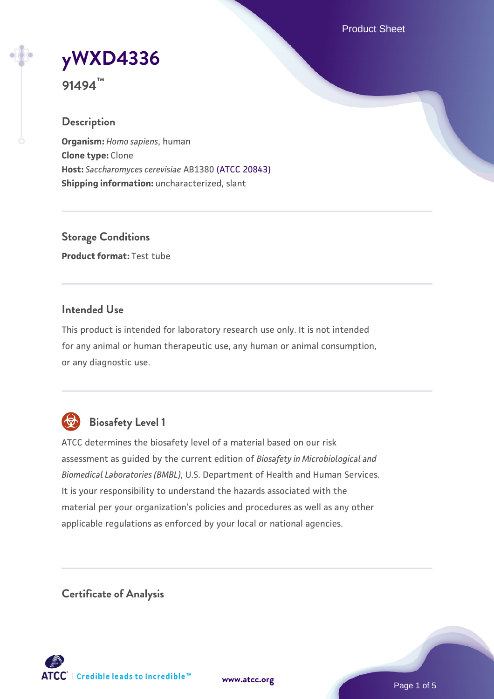Product Sheet

# **[yWXD4336](https://www.atcc.org/products/91494)**

**91494™**

## **Description**

**Organism:** *Homo sapiens*, human **Clone type:** Clone **Host:** *Saccharomyces cerevisiae* AB1380 [\(ATCC 20843\)](https://www.atcc.org/products/20843) **Shipping information:** uncharacterized, slant

**Storage Conditions Product format:** Test tube

## **Intended Use**

This product is intended for laboratory research use only. It is not intended for any animal or human therapeutic use, any human or animal consumption, or any diagnostic use.



# **Biosafety Level 1**

ATCC determines the biosafety level of a material based on our risk assessment as guided by the current edition of *Biosafety in Microbiological and Biomedical Laboratories (BMBL)*, U.S. Department of Health and Human Services. It is your responsibility to understand the hazards associated with the material per your organization's policies and procedures as well as any other applicable regulations as enforced by your local or national agencies.

**Certificate of Analysis**

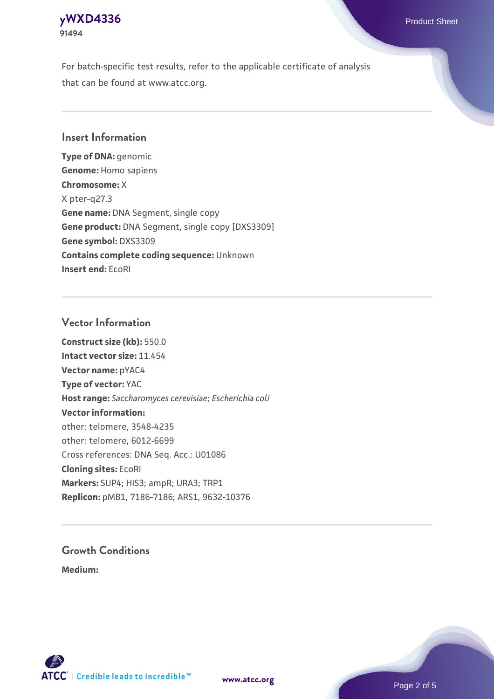## **[yWXD4336](https://www.atcc.org/products/91494)** Product Sheet **91494**

For batch-specific test results, refer to the applicable certificate of analysis that can be found at www.atcc.org.

## **Insert Information**

**Type of DNA:** genomic **Genome:** Homo sapiens **Chromosome:** X X pter-q27.3 **Gene name:** DNA Segment, single copy **Gene product:** DNA Segment, single copy [DXS3309] **Gene symbol:** DXS3309 **Contains complete coding sequence:** Unknown **Insert end:** EcoRI

## **Vector Information**

**Construct size (kb):** 550.0 **Intact vector size:** 11.454 **Vector name:** pYAC4 **Type of vector:** YAC **Host range:** *Saccharomyces cerevisiae*; *Escherichia coli* **Vector information:** other: telomere, 3548-4235 other: telomere, 6012-6699 Cross references: DNA Seq. Acc.: U01086 **Cloning sites:** EcoRI **Markers:** SUP4; HIS3; ampR; URA3; TRP1 **Replicon:** pMB1, 7186-7186; ARS1, 9632-10376

# **Growth Conditions**

**Medium:** 



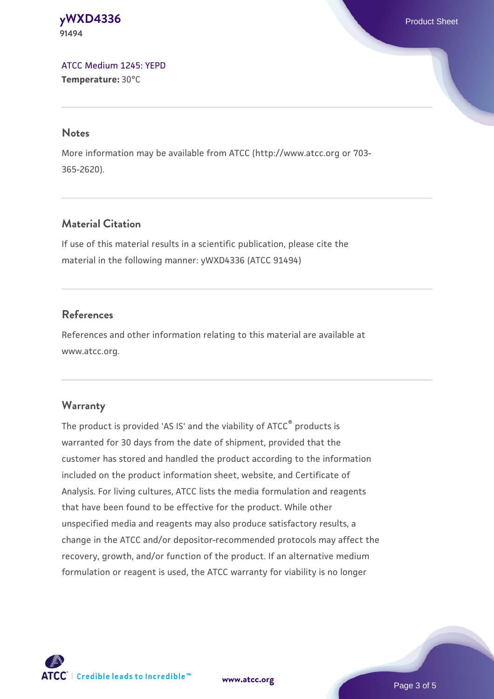#### **[yWXD4336](https://www.atcc.org/products/91494)** Product Sheet **91494**

[ATCC Medium 1245: YEPD](https://www.atcc.org/-/media/product-assets/documents/microbial-media-formulations/1/2/4/5/atcc-medium-1245.pdf?rev=705ca55d1b6f490a808a965d5c072196) **Temperature:** 30°C

#### **Notes**

More information may be available from ATCC (http://www.atcc.org or 703- 365-2620).

## **Material Citation**

If use of this material results in a scientific publication, please cite the material in the following manner: yWXD4336 (ATCC 91494)

## **References**

References and other information relating to this material are available at www.atcc.org.

## **Warranty**

The product is provided 'AS IS' and the viability of ATCC® products is warranted for 30 days from the date of shipment, provided that the customer has stored and handled the product according to the information included on the product information sheet, website, and Certificate of Analysis. For living cultures, ATCC lists the media formulation and reagents that have been found to be effective for the product. While other unspecified media and reagents may also produce satisfactory results, a change in the ATCC and/or depositor-recommended protocols may affect the recovery, growth, and/or function of the product. If an alternative medium formulation or reagent is used, the ATCC warranty for viability is no longer

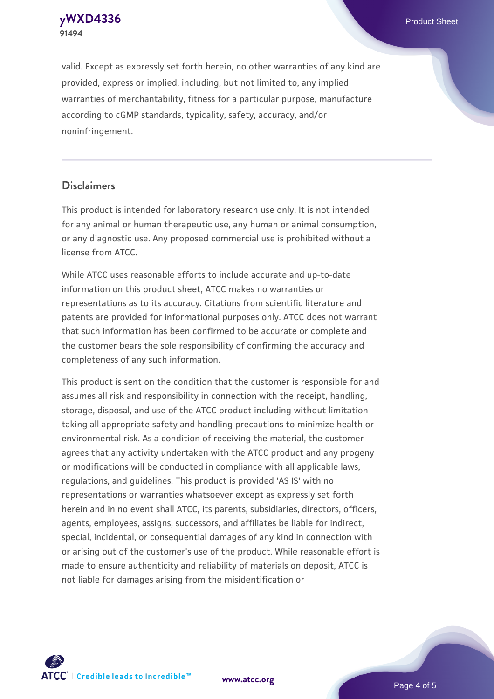**91494**

**[yWXD4336](https://www.atcc.org/products/91494)** Product Sheet

valid. Except as expressly set forth herein, no other warranties of any kind are provided, express or implied, including, but not limited to, any implied warranties of merchantability, fitness for a particular purpose, manufacture according to cGMP standards, typicality, safety, accuracy, and/or noninfringement.

#### **Disclaimers**

This product is intended for laboratory research use only. It is not intended for any animal or human therapeutic use, any human or animal consumption, or any diagnostic use. Any proposed commercial use is prohibited without a license from ATCC.

While ATCC uses reasonable efforts to include accurate and up-to-date information on this product sheet, ATCC makes no warranties or representations as to its accuracy. Citations from scientific literature and patents are provided for informational purposes only. ATCC does not warrant that such information has been confirmed to be accurate or complete and the customer bears the sole responsibility of confirming the accuracy and completeness of any such information.

This product is sent on the condition that the customer is responsible for and assumes all risk and responsibility in connection with the receipt, handling, storage, disposal, and use of the ATCC product including without limitation taking all appropriate safety and handling precautions to minimize health or environmental risk. As a condition of receiving the material, the customer agrees that any activity undertaken with the ATCC product and any progeny or modifications will be conducted in compliance with all applicable laws, regulations, and guidelines. This product is provided 'AS IS' with no representations or warranties whatsoever except as expressly set forth herein and in no event shall ATCC, its parents, subsidiaries, directors, officers, agents, employees, assigns, successors, and affiliates be liable for indirect, special, incidental, or consequential damages of any kind in connection with or arising out of the customer's use of the product. While reasonable effort is made to ensure authenticity and reliability of materials on deposit, ATCC is not liable for damages arising from the misidentification or



**[www.atcc.org](http://www.atcc.org)**

Page 4 of 5